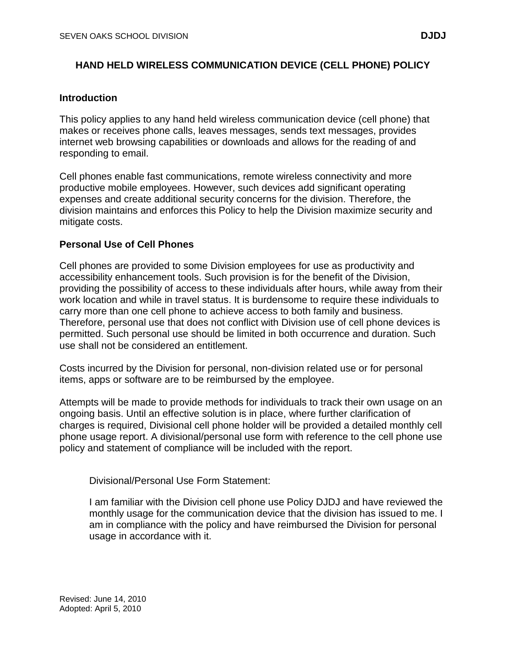# **HAND HELD WIRELESS COMMUNICATION DEVICE (CELL PHONE) POLICY**

## **Introduction**

This policy applies to any hand held wireless communication device (cell phone) that makes or receives phone calls, leaves messages, sends text messages, provides internet web browsing capabilities or downloads and allows for the reading of and responding to email.

Cell phones enable fast communications, remote wireless connectivity and more productive mobile employees. However, such devices add significant operating expenses and create additional security concerns for the division. Therefore, the division maintains and enforces this Policy to help the Division maximize security and mitigate costs.

## **Personal Use of Cell Phones**

Cell phones are provided to some Division employees for use as productivity and accessibility enhancement tools. Such provision is for the benefit of the Division, providing the possibility of access to these individuals after hours, while away from their work location and while in travel status. It is burdensome to require these individuals to carry more than one cell phone to achieve access to both family and business. Therefore, personal use that does not conflict with Division use of cell phone devices is permitted. Such personal use should be limited in both occurrence and duration. Such use shall not be considered an entitlement.

Costs incurred by the Division for personal, non-division related use or for personal items, apps or software are to be reimbursed by the employee.

Attempts will be made to provide methods for individuals to track their own usage on an ongoing basis. Until an effective solution is in place, where further clarification of charges is required, Divisional cell phone holder will be provided a detailed monthly cell phone usage report. A divisional/personal use form with reference to the cell phone use policy and statement of compliance will be included with the report.

Divisional/Personal Use Form Statement:

I am familiar with the Division cell phone use Policy DJDJ and have reviewed the monthly usage for the communication device that the division has issued to me. I am in compliance with the policy and have reimbursed the Division for personal usage in accordance with it.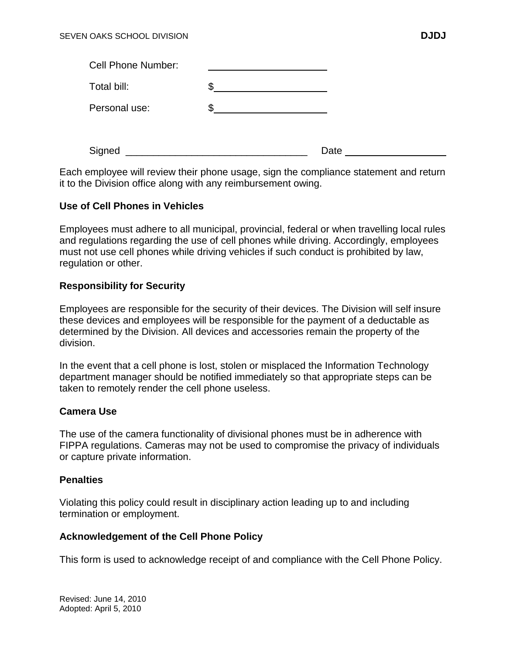| <b>Cell Phone Number:</b> |   |      |  |
|---------------------------|---|------|--|
| Total bill:               |   |      |  |
| Personal use:             | œ |      |  |
|                           |   |      |  |
| Signed                    |   | Date |  |

Each employee will review their phone usage, sign the compliance statement and return it to the Division office along with any reimbursement owing.

## **Use of Cell Phones in Vehicles**

Employees must adhere to all municipal, provincial, federal or when travelling local rules and regulations regarding the use of cell phones while driving. Accordingly, employees must not use cell phones while driving vehicles if such conduct is prohibited by law, regulation or other.

## **Responsibility for Security**

Employees are responsible for the security of their devices. The Division will self insure these devices and employees will be responsible for the payment of a deductable as determined by the Division. All devices and accessories remain the property of the division.

In the event that a cell phone is lost, stolen or misplaced the Information Technology department manager should be notified immediately so that appropriate steps can be taken to remotely render the cell phone useless.

#### **Camera Use**

The use of the camera functionality of divisional phones must be in adherence with FIPPA regulations. Cameras may not be used to compromise the privacy of individuals or capture private information.

#### **Penalties**

Violating this policy could result in disciplinary action leading up to and including termination or employment.

#### **Acknowledgement of the Cell Phone Policy**

This form is used to acknowledge receipt of and compliance with the Cell Phone Policy.

Revised: June 14, 2010 Adopted: April 5, 2010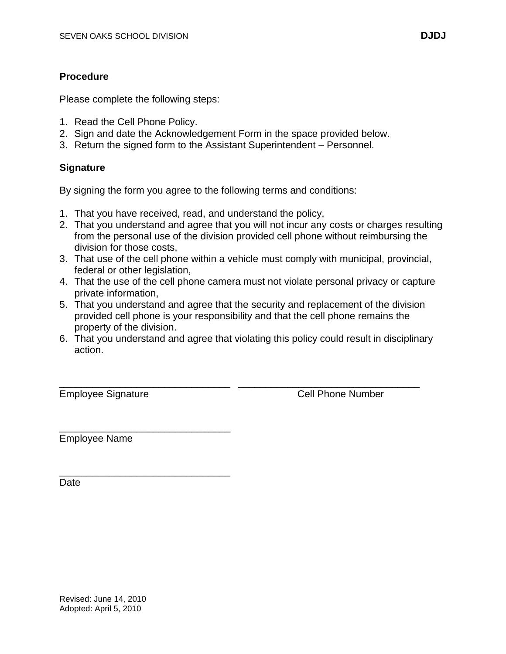# **Procedure**

Please complete the following steps:

- 1. Read the Cell Phone Policy.
- 2. Sign and date the Acknowledgement Form in the space provided below.
- 3. Return the signed form to the Assistant Superintendent Personnel.

# **Signature**

By signing the form you agree to the following terms and conditions:

- 1. That you have received, read, and understand the policy,
- 2. That you understand and agree that you will not incur any costs or charges resulting from the personal use of the division provided cell phone without reimbursing the division for those costs,
- 3. That use of the cell phone within a vehicle must comply with municipal, provincial, federal or other legislation,
- 4. That the use of the cell phone camera must not violate personal privacy or capture private information,
- 5. That you understand and agree that the security and replacement of the division provided cell phone is your responsibility and that the cell phone remains the property of the division.
- 6. That you understand and agree that violating this policy could result in disciplinary action.

\_\_\_\_\_\_\_\_\_\_\_\_\_\_\_\_\_\_\_\_\_\_\_\_\_\_\_\_\_\_\_ \_\_\_\_\_\_\_\_\_\_\_\_\_\_\_\_\_\_\_\_\_\_\_\_\_\_\_\_\_\_\_\_\_ Employee Signature **Cell Phone Number** 

\_\_\_\_\_\_\_\_\_\_\_\_\_\_\_\_\_\_\_\_\_\_\_\_\_\_\_\_\_\_\_ Employee Name

\_\_\_\_\_\_\_\_\_\_\_\_\_\_\_\_\_\_\_\_\_\_\_\_\_\_\_\_\_\_\_

**Date**